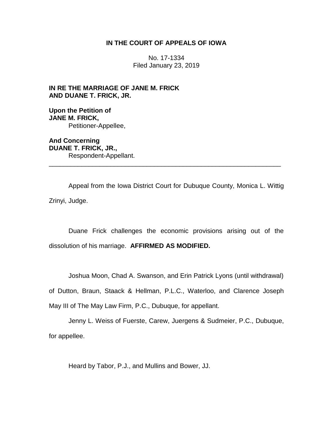# **IN THE COURT OF APPEALS OF IOWA**

No. 17-1334 Filed January 23, 2019

**IN RE THE MARRIAGE OF JANE M. FRICK AND DUANE T. FRICK, JR.**

**Upon the Petition of JANE M. FRICK,** Petitioner-Appellee,

**And Concerning DUANE T. FRICK, JR.,** Respondent-Appellant. \_\_\_\_\_\_\_\_\_\_\_\_\_\_\_\_\_\_\_\_\_\_\_\_\_\_\_\_\_\_\_\_\_\_\_\_\_\_\_\_\_\_\_\_\_\_\_\_\_\_\_\_\_\_\_\_\_\_\_\_\_\_\_\_

Appeal from the Iowa District Court for Dubuque County, Monica L. Wittig Zrinyi, Judge.

Duane Frick challenges the economic provisions arising out of the dissolution of his marriage. **AFFIRMED AS MODIFIED.**

Joshua Moon, Chad A. Swanson, and Erin Patrick Lyons (until withdrawal)

of Dutton, Braun, Staack & Hellman, P.L.C., Waterloo, and Clarence Joseph May III of The May Law Firm, P.C., Dubuque, for appellant.

Jenny L. Weiss of Fuerste, Carew, Juergens & Sudmeier, P.C., Dubuque, for appellee.

Heard by Tabor, P.J., and Mullins and Bower, JJ.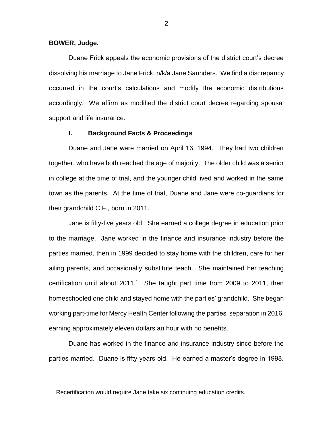### **BOWER, Judge.**

 $\overline{a}$ 

Duane Frick appeals the economic provisions of the district court's decree dissolving his marriage to Jane Frick, n/k/a Jane Saunders. We find a discrepancy occurred in the court's calculations and modify the economic distributions accordingly. We affirm as modified the district court decree regarding spousal support and life insurance.

### **I. Background Facts & Proceedings**

Duane and Jane were married on April 16, 1994. They had two children together, who have both reached the age of majority. The older child was a senior in college at the time of trial, and the younger child lived and worked in the same town as the parents. At the time of trial, Duane and Jane were co-guardians for their grandchild C.F., born in 2011.

Jane is fifty-five years old. She earned a college degree in education prior to the marriage. Jane worked in the finance and insurance industry before the parties married, then in 1999 decided to stay home with the children, care for her ailing parents, and occasionally substitute teach. She maintained her teaching certification until about  $2011<sup>1</sup>$  She taught part time from 2009 to 2011, then homeschooled one child and stayed home with the parties' grandchild. She began working part-time for Mercy Health Center following the parties' separation in 2016, earning approximately eleven dollars an hour with no benefits.

Duane has worked in the finance and insurance industry since before the parties married. Duane is fifty years old. He earned a master's degree in 1998.

<sup>&</sup>lt;sup>1</sup> Recertification would require Jane take six continuing education credits.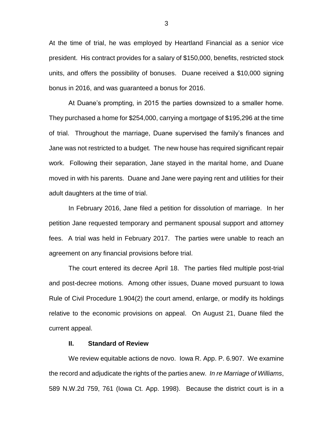At the time of trial, he was employed by Heartland Financial as a senior vice president. His contract provides for a salary of \$150,000, benefits, restricted stock units, and offers the possibility of bonuses. Duane received a \$10,000 signing bonus in 2016, and was guaranteed a bonus for 2016.

At Duane's prompting, in 2015 the parties downsized to a smaller home. They purchased a home for \$254,000, carrying a mortgage of \$195,296 at the time of trial. Throughout the marriage, Duane supervised the family's finances and Jane was not restricted to a budget. The new house has required significant repair work. Following their separation, Jane stayed in the marital home, and Duane moved in with his parents. Duane and Jane were paying rent and utilities for their adult daughters at the time of trial.

In February 2016, Jane filed a petition for dissolution of marriage. In her petition Jane requested temporary and permanent spousal support and attorney fees. A trial was held in February 2017. The parties were unable to reach an agreement on any financial provisions before trial.

The court entered its decree April 18. The parties filed multiple post-trial and post-decree motions. Among other issues, Duane moved pursuant to Iowa Rule of Civil Procedure 1.904(2) the court amend, enlarge, or modify its holdings relative to the economic provisions on appeal. On August 21, Duane filed the current appeal.

#### **II. Standard of Review**

We review equitable actions de novo. Iowa R. App. P. 6.907. We examine the record and adjudicate the rights of the parties anew. *In re Marriage of Williams*, 589 N.W.2d 759, 761 (Iowa Ct. App. 1998). Because the district court is in a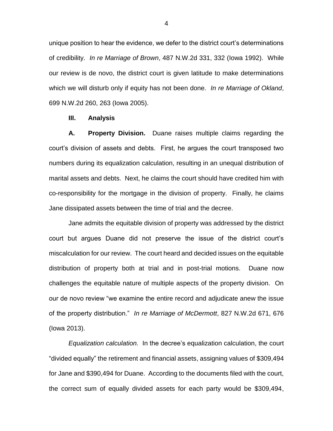unique position to hear the evidence, we defer to the district court's determinations of credibility. *In re Marriage of Brown*, 487 N.W.2d 331, 332 (Iowa 1992). While our review is de novo, the district court is given latitude to make determinations which we will disturb only if equity has not been done. *In re Marriage of Okland*, 699 N.W.2d 260, 263 (Iowa 2005).

#### **III. Analysis**

**A. Property Division.** Duane raises multiple claims regarding the court's division of assets and debts. First, he argues the court transposed two numbers during its equalization calculation, resulting in an unequal distribution of marital assets and debts. Next, he claims the court should have credited him with co-responsibility for the mortgage in the division of property. Finally, he claims Jane dissipated assets between the time of trial and the decree.

Jane admits the equitable division of property was addressed by the district court but argues Duane did not preserve the issue of the district court's miscalculation for our review. The court heard and decided issues on the equitable distribution of property both at trial and in post-trial motions. Duane now challenges the equitable nature of multiple aspects of the property division. On our de novo review "we examine the entire record and adjudicate anew the issue of the property distribution." *In re Marriage of McDermott*, 827 N.W.2d 671, 676 (Iowa 2013).

*Equalization calculation.* In the decree's equalization calculation, the court "divided equally" the retirement and financial assets, assigning values of \$309,494 for Jane and \$390,494 for Duane. According to the documents filed with the court, the correct sum of equally divided assets for each party would be \$309,494,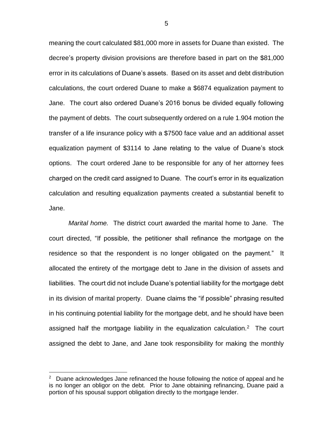meaning the court calculated \$81,000 more in assets for Duane than existed. The decree's property division provisions are therefore based in part on the \$81,000 error in its calculations of Duane's assets. Based on its asset and debt distribution calculations, the court ordered Duane to make a \$6874 equalization payment to Jane. The court also ordered Duane's 2016 bonus be divided equally following the payment of debts. The court subsequently ordered on a rule 1.904 motion the transfer of a life insurance policy with a \$7500 face value and an additional asset equalization payment of \$3114 to Jane relating to the value of Duane's stock options. The court ordered Jane to be responsible for any of her attorney fees charged on the credit card assigned to Duane. The court's error in its equalization calculation and resulting equalization payments created a substantial benefit to Jane.

*Marital home.* The district court awarded the marital home to Jane. The court directed, "If possible, the petitioner shall refinance the mortgage on the residence so that the respondent is no longer obligated on the payment." It allocated the entirety of the mortgage debt to Jane in the division of assets and liabilities. The court did not include Duane's potential liability for the mortgage debt in its division of marital property. Duane claims the "if possible" phrasing resulted in his continuing potential liability for the mortgage debt, and he should have been assigned half the mortgage liability in the equalization calculation.<sup>2</sup> The court assigned the debt to Jane, and Jane took responsibility for making the monthly

 $\overline{a}$ 

5

<sup>&</sup>lt;sup>2</sup> Duane acknowledges Jane refinanced the house following the notice of appeal and he is no longer an obligor on the debt. Prior to Jane obtaining refinancing, Duane paid a portion of his spousal support obligation directly to the mortgage lender.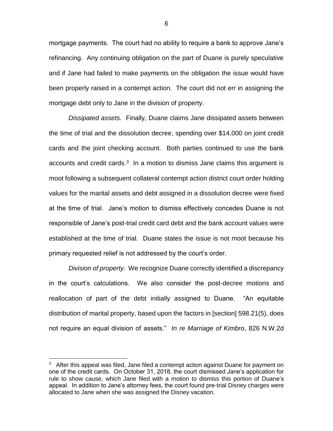mortgage payments. The court had no ability to require a bank to approve Jane's refinancing. Any continuing obligation on the part of Duane is purely speculative and if Jane had failed to make payments on the obligation the issue would have been properly raised in a contempt action. The court did not err in assigning the mortgage debt only to Jane in the division of property.

*Dissipated assets.* Finally, Duane claims Jane dissipated assets between the time of trial and the dissolution decree, spending over \$14,000 on joint credit cards and the joint checking account. Both parties continued to use the bank accounts and credit cards. $3$  In a motion to dismiss Jane claims this argument is moot following a subsequent collateral contempt action district court order holding values for the marital assets and debt assigned in a dissolution decree were fixed at the time of trial. Jane's motion to dismiss effectively concedes Duane is not responsible of Jane's post-trial credit card debt and the bank account values were established at the time of trial. Duane states the issue is not moot because his primary requested relief is not addressed by the court's order.

*Division of property.* We recognize Duane correctly identified a discrepancy in the court's calculations. We also consider the post-decree motions and reallocation of part of the debt initially assigned to Duane. "An equitable distribution of marital property, based upon the factors in [section] 598.21(5), does not require an equal division of assets." *In re Marriage of Kimbro*, 826 N.W.2d

 $3$  After this appeal was filed, Jane filed a contempt action against Duane for payment on one of the credit cards. On October 31, 2018, the court dismissed Jane's application for rule to show cause, which Jane filed with a motion to dismiss this portion of Duane's appeal. In addition to Jane's attorney fees, the court found pre-trial Disney charges were allocated to Jane when she was assigned the Disney vacation.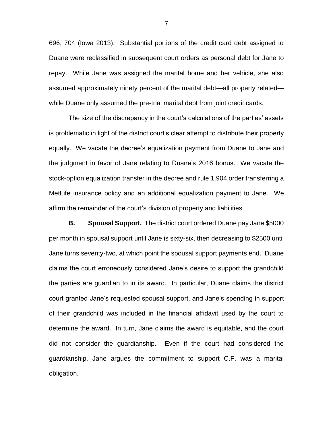696, 704 (Iowa 2013). Substantial portions of the credit card debt assigned to Duane were reclassified in subsequent court orders as personal debt for Jane to repay. While Jane was assigned the marital home and her vehicle, she also assumed approximately ninety percent of the marital debt—all property related while Duane only assumed the pre-trial marital debt from joint credit cards.

The size of the discrepancy in the court's calculations of the parties' assets is problematic in light of the district court's clear attempt to distribute their property equally. We vacate the decree's equalization payment from Duane to Jane and the judgment in favor of Jane relating to Duane's 2016 bonus. We vacate the stock-option equalization transfer in the decree and rule 1.904 order transferring a MetLife insurance policy and an additional equalization payment to Jane. We affirm the remainder of the court's division of property and liabilities.

**B. Spousal Support.** The district court ordered Duane pay Jane \$5000 per month in spousal support until Jane is sixty-six, then decreasing to \$2500 until Jane turns seventy-two, at which point the spousal support payments end. Duane claims the court erroneously considered Jane's desire to support the grandchild the parties are guardian to in its award. In particular, Duane claims the district court granted Jane's requested spousal support, and Jane's spending in support of their grandchild was included in the financial affidavit used by the court to determine the award. In turn, Jane claims the award is equitable, and the court did not consider the guardianship. Even if the court had considered the guardianship, Jane argues the commitment to support C.F. was a marital obligation.

7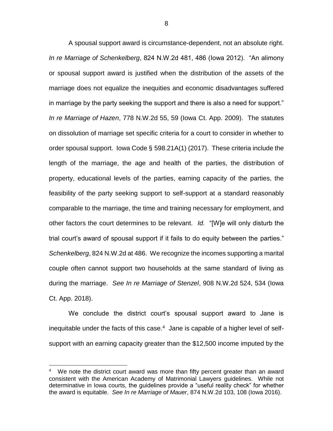A spousal support award is circumstance-dependent, not an absolute right. *In re Marriage of Schenkelberg*, 824 N.W.2d 481, 486 (Iowa 2012). "An alimony or spousal support award is justified when the distribution of the assets of the marriage does not equalize the inequities and economic disadvantages suffered in marriage by the party seeking the support and there is also a need for support." *In re Marriage of Hazen*, 778 N.W.2d 55, 59 (Iowa Ct. App. 2009). The statutes on dissolution of marriage set specific criteria for a court to consider in whether to order spousal support. Iowa Code § 598.21A(1) (2017). These criteria include the length of the marriage, the age and health of the parties, the distribution of property, educational levels of the parties, earning capacity of the parties, the feasibility of the party seeking support to self-support at a standard reasonably comparable to the marriage, the time and training necessary for employment, and other factors the court determines to be relevant. *Id.* "[W]e will only disturb the trial court's award of spousal support if it fails to do equity between the parties." *Schenkelberg*, 824 N.W.2d at 486. We recognize the incomes supporting a marital couple often cannot support two households at the same standard of living as during the marriage. *See In re Marriage of Stenzel*, 908 N.W.2d 524, 534 (Iowa Ct. App. 2018).

We conclude the district court's spousal support award to Jane is inequitable under the facts of this case.<sup>4</sup> Jane is capable of a higher level of selfsupport with an earning capacity greater than the \$12,500 income imputed by the

<sup>&</sup>lt;sup>4</sup> We note the district court award was more than fifty percent greater than an award consistent with the American Academy of Matrimonial Lawyers guidelines. While not determinative in Iowa courts, the guidelines provide a "useful reality check" for whether the award is equitable. *See In re Marriage of Mauer*, 874 N.W.2d 103, 108 (Iowa 2016).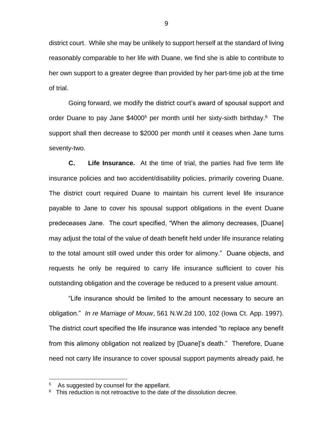district court. While she may be unlikely to support herself at the standard of living reasonably comparable to her life with Duane, we find she is able to contribute to her own support to a greater degree than provided by her part-time job at the time of trial.

Going forward, we modify the district court's award of spousal support and order Duane to pay Jane \$4000<sup>5</sup> per month until her sixty-sixth birthday.<sup>6</sup> The support shall then decrease to \$2000 per month until it ceases when Jane turns seventy-two.

**C. Life Insurance.** At the time of trial, the parties had five term life insurance policies and two accident/disability policies, primarily covering Duane. The district court required Duane to maintain his current level life insurance payable to Jane to cover his spousal support obligations in the event Duane predeceases Jane. The court specified, "When the alimony decreases, [Duane] may adjust the total of the value of death benefit held under life insurance relating to the total amount still owed under this order for alimony." Duane objects, and requests he only be required to carry life insurance sufficient to cover his outstanding obligation and the coverage be reduced to a present value amount.

"Life insurance should be limited to the amount necessary to secure an obligation." *In re Marriage of Mouw*, 561 N.W.2d 100, 102 (Iowa Ct. App. 1997). The district court specified the life insurance was intended "to replace any benefit from this alimony obligation not realized by [Duane]'s death." Therefore, Duane need not carry life insurance to cover spousal support payments already paid, he

<sup>5</sup> As suggested by counsel for the appellant.

<sup>6</sup> This reduction is not retroactive to the date of the dissolution decree.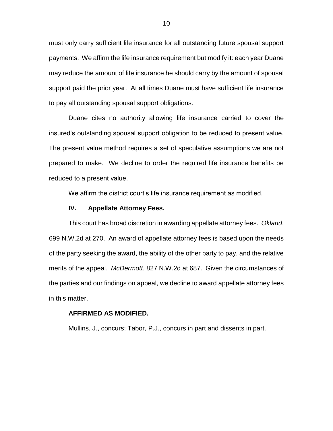must only carry sufficient life insurance for all outstanding future spousal support payments. We affirm the life insurance requirement but modify it: each year Duane may reduce the amount of life insurance he should carry by the amount of spousal support paid the prior year. At all times Duane must have sufficient life insurance to pay all outstanding spousal support obligations.

Duane cites no authority allowing life insurance carried to cover the insured's outstanding spousal support obligation to be reduced to present value. The present value method requires a set of speculative assumptions we are not prepared to make. We decline to order the required life insurance benefits be reduced to a present value.

We affirm the district court's life insurance requirement as modified.

# **IV. Appellate Attorney Fees.**

This court has broad discretion in awarding appellate attorney fees. *Okland*, 699 N.W.2d at 270. An award of appellate attorney fees is based upon the needs of the party seeking the award, the ability of the other party to pay, and the relative merits of the appeal. *McDermott*, 827 N.W.2d at 687. Given the circumstances of the parties and our findings on appeal, we decline to award appellate attorney fees in this matter.

## **AFFIRMED AS MODIFIED.**

Mullins, J., concurs; Tabor, P.J., concurs in part and dissents in part.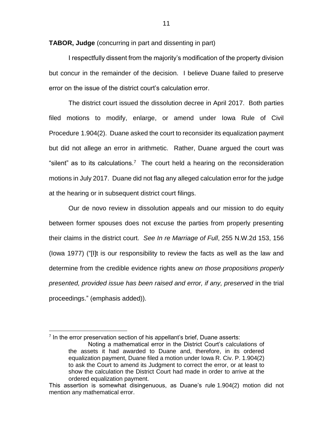**TABOR, Judge** (concurring in part and dissenting in part)

I respectfully dissent from the majority's modification of the property division but concur in the remainder of the decision. I believe Duane failed to preserve error on the issue of the district court's calculation error.

The district court issued the dissolution decree in April 2017. Both parties filed motions to modify, enlarge, or amend under Iowa Rule of Civil Procedure 1.904(2). Duane asked the court to reconsider its equalization payment but did not allege an error in arithmetic. Rather, Duane argued the court was "silent" as to its calculations.<sup>7</sup> The court held a hearing on the reconsideration motions in July 2017. Duane did not flag any alleged calculation error for the judge at the hearing or in subsequent district court filings.

Our de novo review in dissolution appeals and our mission to do equity between former spouses does not excuse the parties from properly presenting their claims in the district court. *See In re Marriage of Full*, 255 N.W.2d 153, 156 (Iowa 1977) ("[I]t is our responsibility to review the facts as well as the law and determine from the credible evidence rights anew *on those propositions properly presented, provided issue has been raised and error, if any, preserved* in the trial proceedings." (emphasis added)).

 $<sup>7</sup>$  In the error preservation section of his appellant's brief, Duane asserts:</sup>

Noting a mathematical error in the District Court's calculations of the assets it had awarded to Duane and, therefore, in its ordered equalization payment, Duane filed a motion under Iowa R. Civ. P. 1.904(2) to ask the Court to amend its Judgment to correct the error, or at least to show the calculation the District Court had made in order to arrive at the ordered equalization payment.

This assertion is somewhat disingenuous, as Duane's rule 1.904(2) motion did not mention any mathematical error.